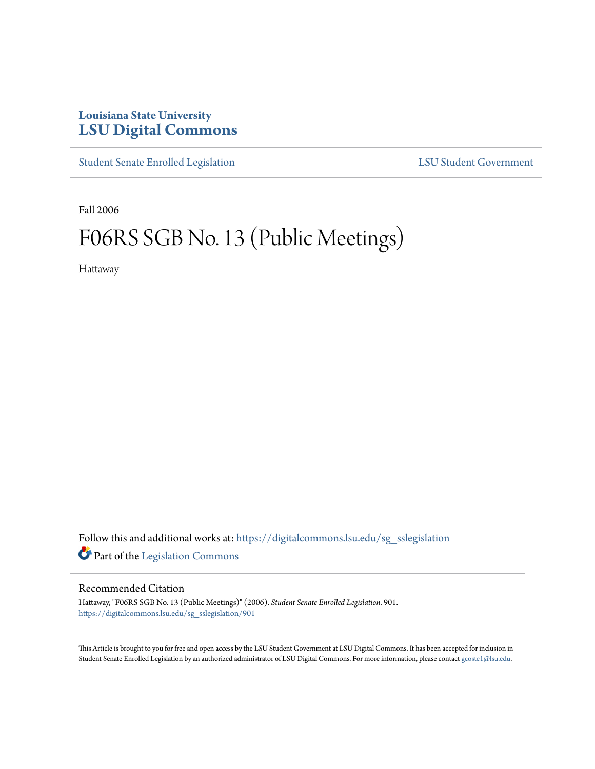## **Louisiana State University [LSU Digital Commons](https://digitalcommons.lsu.edu?utm_source=digitalcommons.lsu.edu%2Fsg_sslegislation%2F901&utm_medium=PDF&utm_campaign=PDFCoverPages)**

[Student Senate Enrolled Legislation](https://digitalcommons.lsu.edu/sg_sslegislation?utm_source=digitalcommons.lsu.edu%2Fsg_sslegislation%2F901&utm_medium=PDF&utm_campaign=PDFCoverPages) [LSU Student Government](https://digitalcommons.lsu.edu/sg?utm_source=digitalcommons.lsu.edu%2Fsg_sslegislation%2F901&utm_medium=PDF&utm_campaign=PDFCoverPages)

Fall 2006

## F06RS SGB No. 13 (Public Meetings)

Hattaway

Follow this and additional works at: [https://digitalcommons.lsu.edu/sg\\_sslegislation](https://digitalcommons.lsu.edu/sg_sslegislation?utm_source=digitalcommons.lsu.edu%2Fsg_sslegislation%2F901&utm_medium=PDF&utm_campaign=PDFCoverPages) Part of the [Legislation Commons](http://network.bepress.com/hgg/discipline/859?utm_source=digitalcommons.lsu.edu%2Fsg_sslegislation%2F901&utm_medium=PDF&utm_campaign=PDFCoverPages)

## Recommended Citation

Hattaway, "F06RS SGB No. 13 (Public Meetings)" (2006). *Student Senate Enrolled Legislation*. 901. [https://digitalcommons.lsu.edu/sg\\_sslegislation/901](https://digitalcommons.lsu.edu/sg_sslegislation/901?utm_source=digitalcommons.lsu.edu%2Fsg_sslegislation%2F901&utm_medium=PDF&utm_campaign=PDFCoverPages)

This Article is brought to you for free and open access by the LSU Student Government at LSU Digital Commons. It has been accepted for inclusion in Student Senate Enrolled Legislation by an authorized administrator of LSU Digital Commons. For more information, please contact [gcoste1@lsu.edu.](mailto:gcoste1@lsu.edu)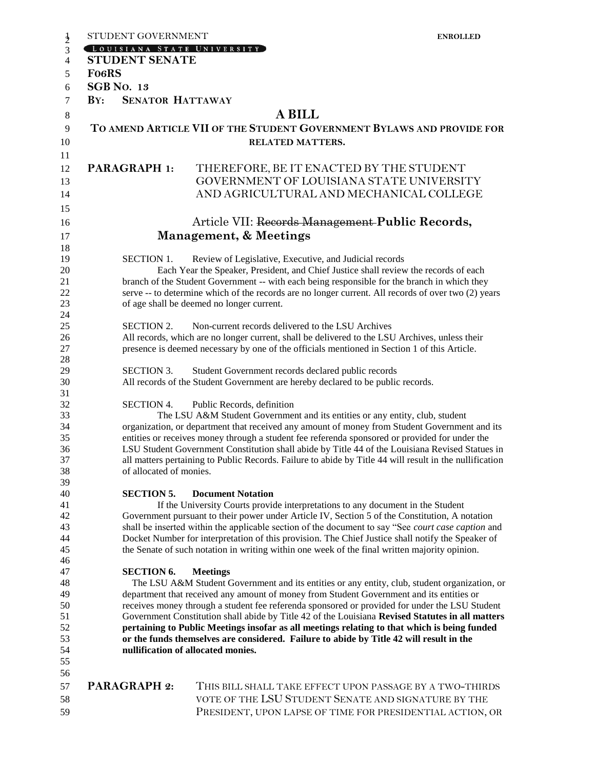| STUDENT GOVERNMENT                                                                                                                                                                         | <b>ENROLLED</b>                                                                                                                |  |  |
|--------------------------------------------------------------------------------------------------------------------------------------------------------------------------------------------|--------------------------------------------------------------------------------------------------------------------------------|--|--|
| LOUISIANA STATE UNIVERSITY                                                                                                                                                                 |                                                                                                                                |  |  |
| <b>STUDENT SENATE</b>                                                                                                                                                                      |                                                                                                                                |  |  |
| <b>FO6RS</b>                                                                                                                                                                               |                                                                                                                                |  |  |
| <b>SGB No. 13</b>                                                                                                                                                                          |                                                                                                                                |  |  |
| <b>SENATOR HATTAWAY</b><br>$\mathbf{B} \mathbf{Y}$ :                                                                                                                                       |                                                                                                                                |  |  |
|                                                                                                                                                                                            | <b>A BILL</b>                                                                                                                  |  |  |
|                                                                                                                                                                                            |                                                                                                                                |  |  |
|                                                                                                                                                                                            | TO AMEND ARTICLE VII OF THE STUDENT GOVERNMENT BYLAWS AND PROVIDE FOR<br><b>RELATED MATTERS.</b>                               |  |  |
| PARAGRAPH 1:                                                                                                                                                                               | THEREFORE, BE IT ENACTED BY THE STUDENT<br>GOVERNMENT OF LOUISIANA STATE UNIVERSITY<br>AND AGRICULTURAL AND MECHANICAL COLLEGE |  |  |
|                                                                                                                                                                                            | Article VII: Records Management-Public Records,                                                                                |  |  |
|                                                                                                                                                                                            |                                                                                                                                |  |  |
|                                                                                                                                                                                            | Management, & Meetings                                                                                                         |  |  |
| <b>SECTION 1.</b>                                                                                                                                                                          | Review of Legislative, Executive, and Judicial records                                                                         |  |  |
|                                                                                                                                                                                            | Each Year the Speaker, President, and Chief Justice shall review the records of each                                           |  |  |
|                                                                                                                                                                                            | branch of the Student Government -- with each being responsible for the branch in which they                                   |  |  |
|                                                                                                                                                                                            | serve -- to determine which of the records are no longer current. All records of over two (2) years                            |  |  |
|                                                                                                                                                                                            | of age shall be deemed no longer current.                                                                                      |  |  |
|                                                                                                                                                                                            |                                                                                                                                |  |  |
| <b>SECTION 2.</b>                                                                                                                                                                          | Non-current records delivered to the LSU Archives                                                                              |  |  |
| All records, which are no longer current, shall be delivered to the LSU Archives, unless their                                                                                             |                                                                                                                                |  |  |
|                                                                                                                                                                                            | presence is deemed necessary by one of the officials mentioned in Section 1 of this Article.                                   |  |  |
| <b>SECTION 3.</b>                                                                                                                                                                          | Student Government records declared public records                                                                             |  |  |
|                                                                                                                                                                                            | All records of the Student Government are hereby declared to be public records.                                                |  |  |
|                                                                                                                                                                                            |                                                                                                                                |  |  |
| <b>SECTION 4.</b>                                                                                                                                                                          | Public Records, definition                                                                                                     |  |  |
| The LSU A&M Student Government and its entities or any entity, club, student                                                                                                               |                                                                                                                                |  |  |
| organization, or department that received any amount of money from Student Government and its                                                                                              |                                                                                                                                |  |  |
| entities or receives money through a student fee referenda sponsored or provided for under the                                                                                             |                                                                                                                                |  |  |
| LSU Student Government Constitution shall abide by Title 44 of the Louisiana Revised Statues in                                                                                            |                                                                                                                                |  |  |
| all matters pertaining to Public Records. Failure to abide by Title 44 will result in the nullification                                                                                    |                                                                                                                                |  |  |
| of allocated of monies.                                                                                                                                                                    |                                                                                                                                |  |  |
| <b>SECTION 5.</b>                                                                                                                                                                          | <b>Document Notation</b>                                                                                                       |  |  |
|                                                                                                                                                                                            | If the University Courts provide interpretations to any document in the Student                                                |  |  |
| Government pursuant to their power under Article IV, Section 5 of the Constitution, A notation                                                                                             |                                                                                                                                |  |  |
| shall be inserted within the applicable section of the document to say "See court case caption and                                                                                         |                                                                                                                                |  |  |
|                                                                                                                                                                                            | Docket Number for interpretation of this provision. The Chief Justice shall notify the Speaker of                              |  |  |
|                                                                                                                                                                                            | the Senate of such notation in writing within one week of the final written majority opinion.                                  |  |  |
|                                                                                                                                                                                            |                                                                                                                                |  |  |
| <b>SECTION 6.</b>                                                                                                                                                                          | <b>Meetings</b>                                                                                                                |  |  |
| The LSU A&M Student Government and its entities or any entity, club, student organization, or                                                                                              |                                                                                                                                |  |  |
| department that received any amount of money from Student Government and its entities or<br>receives money through a student fee referenda sponsored or provided for under the LSU Student |                                                                                                                                |  |  |
| Government Constitution shall abide by Title 42 of the Louisiana Revised Statutes in all matters                                                                                           |                                                                                                                                |  |  |
| pertaining to Public Meetings insofar as all meetings relating to that which is being funded                                                                                               |                                                                                                                                |  |  |
| or the funds themselves are considered. Failure to abide by Title 42 will result in the                                                                                                    |                                                                                                                                |  |  |
|                                                                                                                                                                                            | nullification of allocated monies.                                                                                             |  |  |
|                                                                                                                                                                                            |                                                                                                                                |  |  |
|                                                                                                                                                                                            |                                                                                                                                |  |  |
| <b>PARAGRAPH 2:</b>                                                                                                                                                                        | THIS BILL SHALL TAKE EFFECT UPON PASSAGE BY A TWO-THIRDS                                                                       |  |  |
|                                                                                                                                                                                            | VOTE OF THE LSU STUDENT SENATE AND SIGNATURE BY THE                                                                            |  |  |
|                                                                                                                                                                                            | PRESIDENT, UPON LAPSE OF TIME FOR PRESIDENTIAL ACTION, OR                                                                      |  |  |